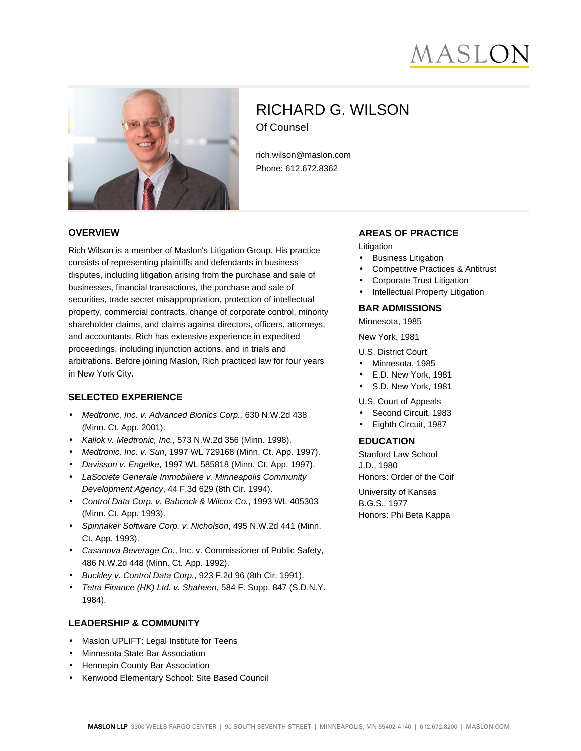# AASLC



# RICHARD G. WILSON Of Counsel

rich.wilson@maslon.com Phone: 612.672.8362

#### **OVERVIEW**

Rich Wilson is a member of Maslon's Litigation Group. His practice consists of representing plaintiffs and defendants in business disputes, including litigation arising from the purchase and sale of businesses, financial transactions, the purchase and sale of securities, trade secret misappropriation, protection of intellectual property, commercial contracts, change of corporate control, minority shareholder claims, and claims against directors, officers, attorneys, and accountants. Rich has extensive experience in expedited proceedings, including injunction actions, and in trials and arbitrations. Before joining Maslon, Rich practiced law for four years in New York City.

# **SELECTED EXPERIENCE**

- Medtronic, Inc. v. Advanced Bionics Corp., 630 N.W.2d 438 (Minn. Ct. App. 2001).
- Kallok v. Medtronic, Inc., 573 N.W.2d 356 (Minn. 1998).
- Medtronic, Inc. v. Sun, 1997 WL 729168 (Minn. Ct. App. 1997).
- Davisson v. Engelke, 1997 WL 585818 (Minn. Ct. App. 1997).
- LaSociete Generale Immobiliere v. Minneapolis Community Development Agency, 44 F.3d 629 (8th Cir. 1994).
- Control Data Corp. v. Babcock & Wilcox Co., 1993 WL 405303 (Minn. Ct. App. 1993).
- Spinnaker Software Corp. v. Nicholson, 495 N.W.2d 441 (Minn. Ct. App. 1993).
- Casanova Beverage Co., Inc. v. Commissioner of Public Safety, 486 N.W.2d 448 (Minn. Ct. App. 1992).
- Buckley v. Control Data Corp., 923 F.2d 96 (8th Cir. 1991).
- Tetra Finance (HK) Ltd. v. Shaheen, 584 F. Supp. 847 (S.D.N.Y. 1984).

#### **LEADERSHIP & COMMUNITY**

- Maslon UPLIFT: Legal Institute for Teens
- Minnesota State Bar Association
- Hennepin County Bar Association
- Kenwood Elementary School: Site Based Council

#### **AREAS OF PRACTICE**

Litigation

- **Business Litigation**
- Competitive Practices & Antitrust
- Corporate Trust Litigation
- Intellectual Property Litigation

#### **BAR ADMISSIONS**

Minnesota, 1985

New York, 1981

U.S. District Court

- Minnesota, 1985
- E.D. New York, 1981
- S.D. New York, 1981

U.S. Court of Appeals

- Second Circuit, 1983
- Eighth Circuit, 1987

# **EDUCATION**

Stanford Law School J.D., 1980 Honors: Order of the Coif

University of Kansas B.G.S., 1977 Honors: Phi Beta Kappa